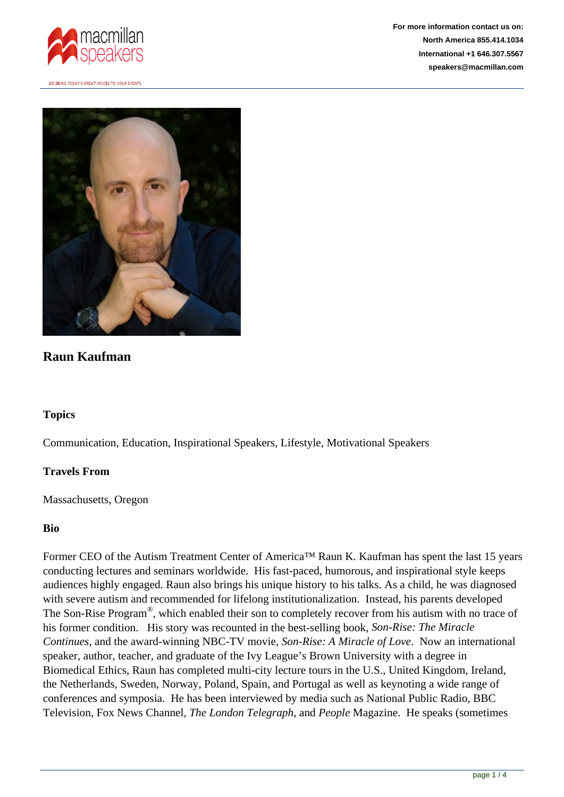

WE BRING TODAY'S GREAT VOICES TO YOUR EVENTS



# **Raun Kaufman**

## **Topics**

Communication, Education, Inspirational Speakers, Lifestyle, Motivational Speakers

#### **Travels From**

Massachusetts, Oregon

## **Bio**

Former CEO of the Autism Treatment Center of America™ Raun K. Kaufman has spent the last 15 years conducting lectures and seminars worldwide. His fast-paced, humorous, and inspirational style keeps audiences highly engaged. Raun also brings his unique history to his talks. As a child, he was diagnosed with severe autism and recommended for lifelong institutionalization. Instead, his parents developed The Son-Rise Program<sup>®</sup>, which enabled their son to completely recover from his autism with no trace of his former condition. His story was recounted in the best-selling book, *Son-Rise: The Miracle Continues,* and the award-winning NBC-TV movie, *Son-Rise: A Miracle of Love*. Now an international speaker, author, teacher, and graduate of the Ivy League's Brown University with a degree in Biomedical Ethics, Raun has completed multi-city lecture tours in the U.S., United Kingdom, Ireland, the Netherlands, Sweden, Norway, Poland, Spain, and Portugal as well as keynoting a wide range of conferences and symposia. He has been interviewed by media such as National Public Radio, BBC Television, Fox News Channel, *The London Telegraph*, and *People* Magazine. He speaks (sometimes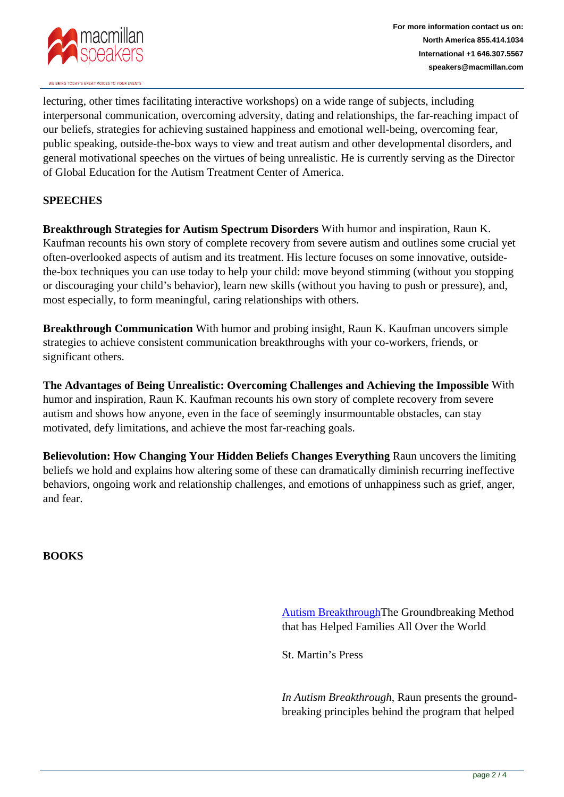

WE BRING TODAY'S GREAT VOICES TO YOUR EVENTS

lecturing, other times facilitating interactive workshops) on a wide range of subjects, including interpersonal communication, overcoming adversity, dating and relationships, the far-reaching impact of our beliefs, strategies for achieving sustained happiness and emotional well-being, overcoming fear, public speaking, outside-the-box ways to view and treat autism and other developmental disorders, and general motivational speeches on the virtues of being unrealistic. He is currently serving as the Director of Global Education for the Autism Treatment Center of America.

## **SPEECHES**

**Breakthrough Strategies for Autism Spectrum Disorders** With humor and inspiration, Raun K. Kaufman recounts his own story of complete recovery from severe autism and outlines some crucial yet often-overlooked aspects of autism and its treatment. His lecture focuses on some innovative, outsidethe-box techniques you can use today to help your child: move beyond stimming (without you stopping or discouraging your child's behavior), learn new skills (without you having to push or pressure), and, most especially, to form meaningful, caring relationships with others.

**Breakthrough Communication** With humor and probing insight, Raun K. Kaufman uncovers simple strategies to achieve consistent communication breakthroughs with your co-workers, friends, or significant others.

**The Advantages of Being Unrealistic: Overcoming Challenges and Achieving the Impossible** With humor and inspiration, Raun K. Kaufman recounts his own story of complete recovery from severe autism and shows how anyone, even in the face of seemingly insurmountable obstacles, can stay motivated, defy limitations, and achieve the most far-reaching goals.

**Believolution: How Changing Your Hidden Beliefs Changes Everything** Raun uncovers the limiting beliefs we hold and explains how altering some of these can dramatically diminish recurring ineffective behaviors, ongoing work and relationship challenges, and emotions of unhappiness such as grief, anger, and fear.

**BOOKS**

[Autism BreakthroughT](https://us.macmillan.com/books/9781250063472)he Groundbreaking Method that has Helped Families All Over the World

St. Martin's Press

*In Autism Breakthrough*, Raun presents the groundbreaking principles behind the program that helped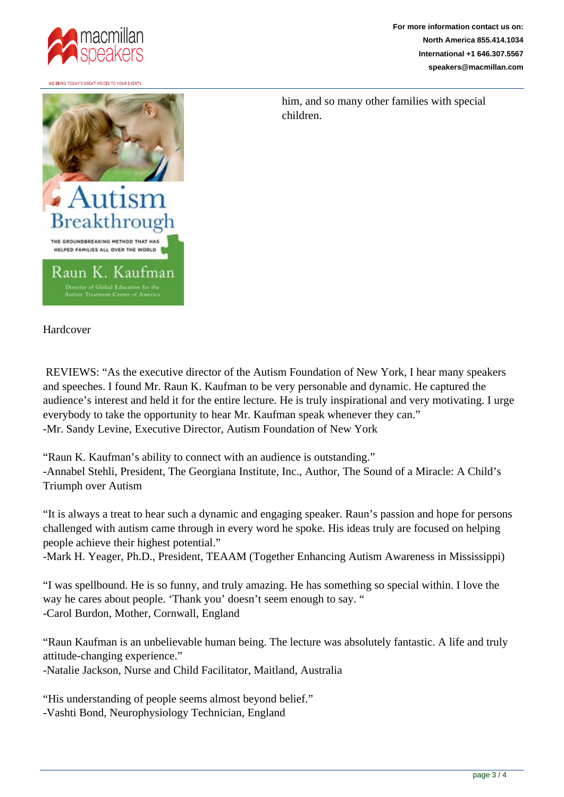

WE BRING TODAY'S GREAT VOICES TO YOUR EVENT

**For more information contact us on: North America 855.414.1034 International +1 646.307.5567 speakers@macmillan.com**



him, and so many other families with special children.

Hardcover

 REVIEWS: "As the executive director of the Autism Foundation of New York, I hear many speakers and speeches. I found Mr. Raun K. Kaufman to be very personable and dynamic. He captured the audience's interest and held it for the entire lecture. He is truly inspirational and very motivating. I urge everybody to take the opportunity to hear Mr. Kaufman speak whenever they can." -Mr. Sandy Levine, Executive Director, Autism Foundation of New York

"Raun K. Kaufman's ability to connect with an audience is outstanding." -Annabel Stehli, President, The Georgiana Institute, Inc., Author, The Sound of a Miracle: A Child's Triumph over Autism

"It is always a treat to hear such a dynamic and engaging speaker. Raun's passion and hope for persons challenged with autism came through in every word he spoke. His ideas truly are focused on helping people achieve their highest potential."

-Mark H. Yeager, Ph.D., President, TEAAM (Together Enhancing Autism Awareness in Mississippi)

"I was spellbound. He is so funny, and truly amazing. He has something so special within. I love the way he cares about people. 'Thank you' doesn't seem enough to say. " -Carol Burdon, Mother, Cornwall, England

"Raun Kaufman is an unbelievable human being. The lecture was absolutely fantastic. A life and truly attitude-changing experience."

-Natalie Jackson, Nurse and Child Facilitator, Maitland, Australia

"His understanding of people seems almost beyond belief."

-Vashti Bond, Neurophysiology Technician, England